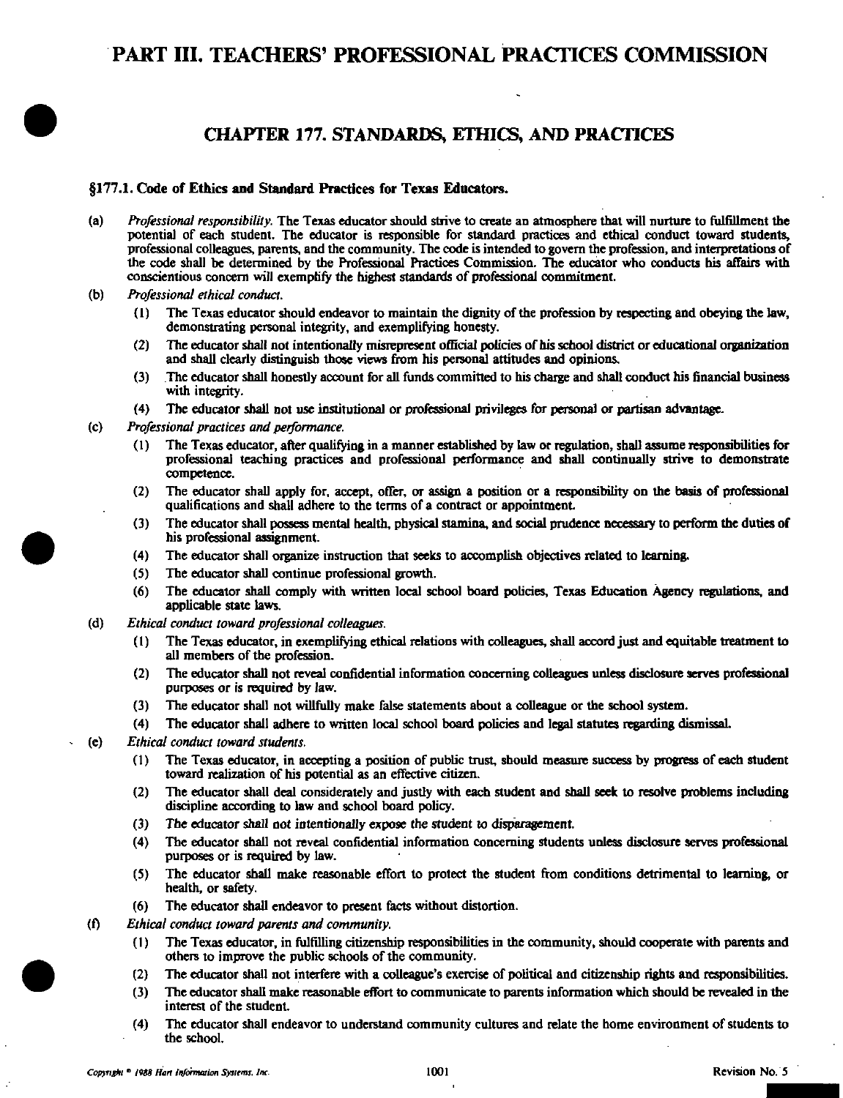# PART III. TEACHERS' PROFESSIONAL PRACTICES COMMISSION

# CHAPTER 177. STANDARDS, ETHICS, AND PRACHCES

## §177.1. Code of Ethics and Standard Practices for Texas Educators.

- (a) Professional responsibility. The Texas educator should strive to create an atmosphere that will nurture to fulfillment the potential of each student. The educator is responsible for standard practices and ethical conduct toward students, professional colleagues, parents, and the community. The code is intended to govern the profession, and interpretations of the code shall be determined by the Professional Practices Commission. The educator who conducts his affairs with conscientious concern will exemptify the highest standards of professional commitment.
- (b) Professional ethical conduct.
	- (1) The Texas educator should endeavor to maintain the dignity ofthe profession by respecting and obeying the law, demonstrating personal integrity, and exemplifying honesty.
	- (2) The educator shall not intentionally misrepresent official policies of his school district or educational organization and shall clearly distinguish those views ffom his personal attitudes and opinions.
	- (3) The educator shall hooestiy account for all funds committed to his charge and shall conduct his financial business with integrity.
	- (4) The educator shall not use institutional or professional privileges for personal or partisan advantage.
- (c) Professional practices and performance.
	- $(1)$  The Texas educator, after qualifying in a manner established by law or regulation, shall assume responsibilities for professional teaching practices and professional performance and shall continually strive to demonstrate competence.
	- (2) The educator shall apply for, accept, offer, or assign a position or a responsibility on the basis of professional qualifications and shall adhere to the terms of a contract or appointment.
	- (3) The educator shall possess mental health, physical stamina, and social prudence necessary to perform the duties of his professional assignment.
	- (4) The educator shall organize instruction that seeks to accomplish objectives related to learning.
	- (5) The educator shall continue professional growth.
	- (6) The educator shall comply with written local scbool board policies, Texas Education Agency regulations, and applicable state laws.
- (d) Ethical conduct toward professional colleagues.
	- (1) The Texas educator, in exempliiying ethical relations with colleagues, shall accord just and equitable treatment to all members of the profession.
	- (2) The educator shall not reveal confidential information concerning colleagues unless disclosure serves professional purposes or is required by law.
	- (3) The educator shall not willfully make false statements about a colleague or the school system.
	- (4) The educator shall adhere to written local school board policies and legal statutes regarding dismissal.
- (e) Ethical conduct toward students.
	- (1) The Texas educator, in accepting a position of public trust, should measure success by progress of each student toward realization of his potential as an effective citizen.
	- (2) The educator shall deal considerately and justiy with each student and shaU seek to resolve problems including discipline according to law and school board policy.
	- (3) The educator shall not intentionally expose the student to disparagement.
	- (4) The educator shaU not reveal confidential information concerning students unless disclosure serves professional purposes or is required by law.
	- (5) The educator shaU make reasonable effort to protect the student firom conditions detrimental to learning, or health, or safety.
	- (6) The educator shall endeavor to present facts without distortion.
	- (f) Ethical conduct toward parents and community.
		- (1) The Texas educator, in fiilfiUing citizenship responsibiUties in the community, should cooperate with parents and others to improve the public schools of the community.
		- (2) The educator shall not interfere with a colleague's exercise of political and citizenship rights and responsibilities.
		- (3) The educator shaU make reasonable effort to communicate to parents information which shoiUd be revealed in the interest of the student.
		- (4) The educator shall endeavor to understand community cultures and relate the home environment of students to the school.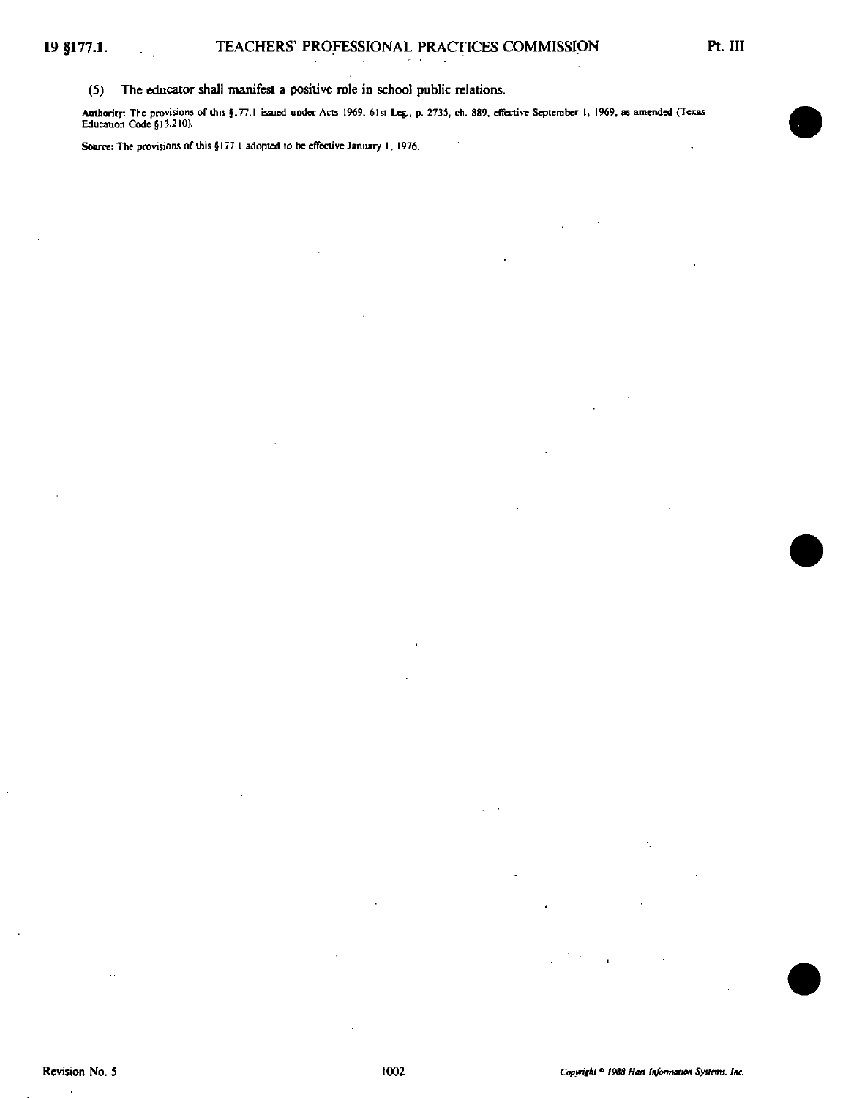(S) The educator shall manifest a positive role in school public relations.

Authority: The provisions of this §177.1 issued under Acts 1969, 61st Leg., p. 2735, ch. 889, effective September 1, 1969, as amended (Texas<br>Education Code §13.210).

Source: The provisions of this §177.1 adopted to be effective January 1, 1976.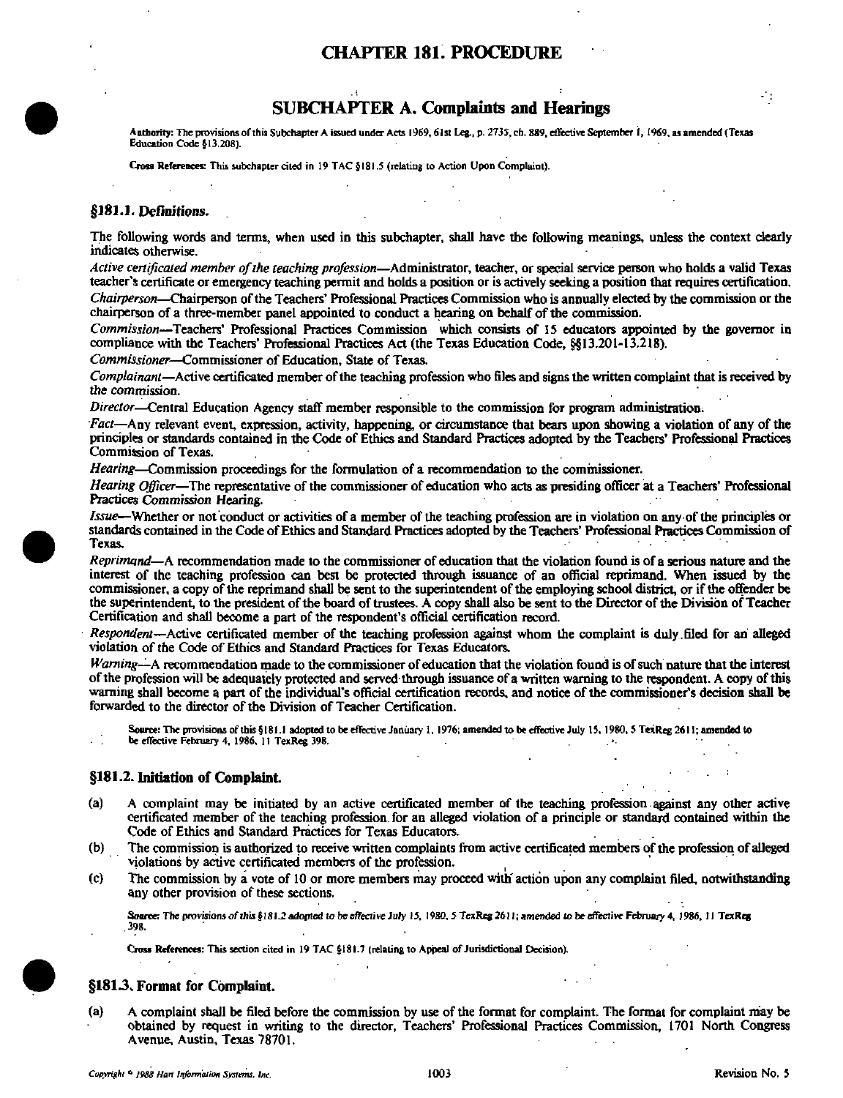# CHAPTER 181. PROCEDURE

# SUBCHAPTER A. Complaints and Hearings

Authority: The provisions of this Subchapter A issued under Acts 1969, 61st Leg., p. 2735, ch. 889, effective September 1, 1969, as amended (Texas Education Code §13.206).

Cross References: This subchapter cited in 19 TAC §181.5 (relating to Action Upon Complaint).

#### §181.1. Definitions.

The following words and terms, when used in this subchapter, shall have the following meanings, unless the context clearly indicates otherwise.

Active certificated member of the teaching profession—Administrator, teacher, or special service person who holds a valid Texas teacher's certificate or emergency teaching permit and holds a position or is actively seeking a position that requires certification. Chairperson—Chairperson of the Teachers' Professional Practices Commission who is annually elected by the commission or the chairperson of a three-member panel appointed to conduct a bearing on behalf of the commission.

Commission—Teachers' Professional Practices Commission which consists of 15 educators appointed by the governor in compliance with the Teachers' Professional Practices Act (the Texas Education Code, §§13.201-13.218).

Commissioner—Commissioner of Education, State of Texas.

Complainant—Active certificated member of the teaching profession who files and signs the written complaint that is received by the commission.

Director—Central Education Agency staff member responsible to the commission for program administration.

Fact—Any relevant event, expression, activity, happening, or circumstance that bears upon showing a violation of any of the principles or standards contained in the Code of Ethics and Standard Practices adopted by the Teachers' Professional Practices Commission of Texas.

Hearing—Commission proceedings for the formulation of a recommendation to the cominissioner.

Hearing Officer—The representative of the commissioner of education who acts as presiding officer at a Teachers' Professional Practices Commission Hearing.

Issue—Whether or not conduct or activities of a member of the teaching profession are in violation on any of the principles or standards contained in the Code of Ethics and Standard Practices adopted by the Teachers' Professional Practices Commission of Texas.

Reprimand—A recommendation made to the commissioner of education that the violation found is of a serious nature and the interest of the teaching profession can best be protected through issuance of an official reprimand. When issued by the commissioner, a copy of the reprimand shall be sent to the superintendent of the employing school district, or if the offender be the superintendent, to the president of the board of trustees. A copy shall also be sent to the Director of the Division of Teacher Certification and shall become a part of the respondent's official certification record.

Respondent—Active certificated member of the teaching profession against whom the complaint is duly filed for an alleged violation of the Code of Ethics and Standard Practices for Texas Educators.

Warning—A recommendation made to the commissioner of education that the violation found is of such nature that the interest ofthe profession will be adequately protected and served through issuance of a written warning to the respondent. A copy ofthis warning shall become a part of the individual's official certification records, and notice of the commissioner's decision shall be forwarded to the director of the Division of Teacher Certification.

Source: The provisions of this §181.1 adopted to be effective January 1, 1976; amended to be effective July 15, 1980, 5 TeiReg 2611; amended to

be effective February 4, 1986, 11 TexReg 398.

## §181.2. Initiation of Complaint.

- (a) A complaint may be initiated by an active certificated member of the teaching profession against any other active certificated member of the teaching profession for an alleged violation of a principle or standard contained within the Code of Ethics and Standard Practices for Texas Educators.
- (b) The commission is authorized to receive written complaints from active certificated members of the profession of alleged violations by active certificated members of the profession.
- (c) The commission by a vote of 10 or more members may proceed with'action upon any complaint filed, notwithstanding any other provision of these sections.

Source: The provisions of this §181.2 adopted to be effective July 15, 1980. 5 TexReg 2611; amended to be effective February 4, 1986, 11 TexReg . 398.

Cross References: This section cited in 19 TAC §181.7 (relating to Appeal of Jurisdictional Decision).

# §181.3. Format for Complaint.

(a) A complaint shall be filed before the commission by use of the format for complaint. The format for complaint may be obtained by request in writing to the director, Teachers' Professional Practices Commission, 1701 North Congress Avenue, Austin, Texas 78701.

 $\mathcal{L}_{\mathcal{A}}$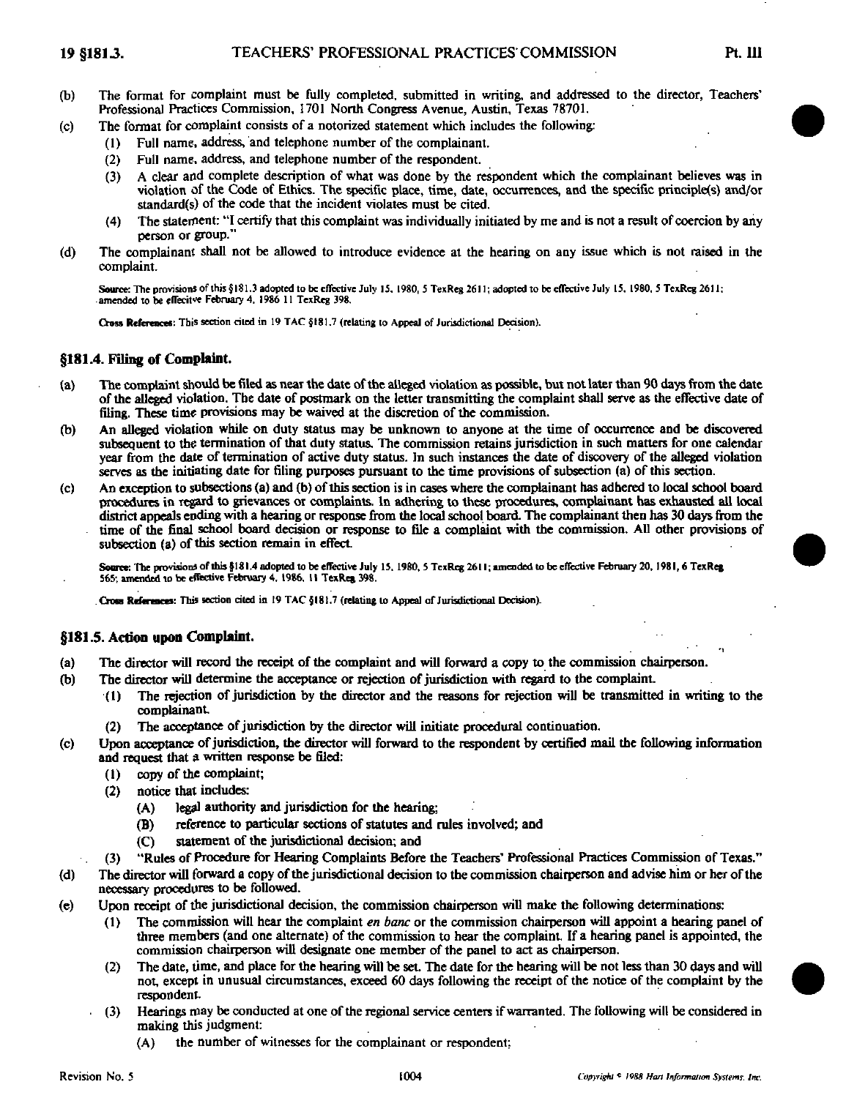- (b) The format for complaint must be fully completed, submitted in writing, and addressed to the director, Teachers' Professional Practices Commission, 1701 North Congress Avenue, Austin, Texas 78701.
- (c) The formal for complaint consists of a notorized statement which includes the following:
	- (1) Full name, address, and telephone number of the complainant.
	- (2) Full name, address, and telephone number of the respondent.
	- (3) A clear arid complete description of what was done by the respondent which the complainant believes was in violation of the Code of Ethics. The specific place, time, date, occurrences, and the specific principle(s) and/or standard(s) of the code that the incident violates must be cited.
	- (4) The statement: "I certify that this complaint was individually initiated by me and is not a result of coercion by any person or group."
- (d) The complainant shall not be allowed to introduce evidence at the hearing on any issue which is not raised in the complaint.

Source: The provisions of this §181.3 adopted to be effective July 15, 1980, 5 TexReg 2611; adopted to be effective July 15, 1980, 5 TexReg 2611; amended to be elTecitve February 4. 1986 11 TexReg 398.

Cross References: This section cited in 19 TAC §181.7 (relating to Appeal of Jurisdictional Decision).

#### §181.4. Filing of Complaint.

- (a) The complaint should be filed as near the date ofthe alleged violation as possible, but not later than 90 days from the date of the alleged violation. The date of postmark on the letter transmitting the complaint ^all serve as the effective date of filing. These time provisions may be waived at the discretion of the commission.
- (b) An alleged violation while on duty status may be unknown to anyone at the time of occurrence and be discovered subsequent to the termination of that duty status. The commission retains jurisdiction in such matters for one calendar year from the date of termination of active duty status. In such instances the date of discovery of the alleged violation serves as the initiating date for fifing purposes pursuant to the time provisions of subsection (a) of this section.
- (c) An exception to subsections (a) and (b) ofthis section is in cases where the complainant has adhered to local school board procedures io regard to grievances or complaints. In adhering to these procedures, complainant has exhausted all local district appeals ending with a hearing or response from the local school board. The complainant then has 30 days from the time of the final school board decision or response to file a complaint with the commission. All other provisions of subsection (a) of this section remain in effect.

Source: The provisions of this §181.4 adopted to be effective July 15, 1980, 5 TexReg 2611; amended to be effective February 20, 1981, 6 TexReg 565; amended to be effective February 4, 1986, 11 TexRea 398.

Cross References: This section cited in 19 TAC §181.7 (relating to Appeal of Jurisdictional Decision).

## §181.5. Action upon Complaint.

- (a) The director will record the receipt of the complaint and will forward a copy to the commission chairperson.
- (b) The director will determine the acceptance or rejection of jurisdiction with regard to the complaint.
	- (1) The rejection of jurisdiction by the director and the reasons for rejection will be transmitted in writing to the complainant
	- (2) The acceptance of Jurisdiction by the director will initiate procedural continuation.
- (c) Upon acceptance of jurisdiction, the director will forward to the respondent by certified mail the following information and request that a written response be filed:
	- (1) copy of the complaint;
	- (2) notice that includes:
		- (A) legal authority and jurisdiction for the hearing;
		- (B) reference to particular sections of statutes and rules involved; and
		- (C) statement of the jurisdictional decision; and
	- (3) "Rules of Procedure for Hearing Complaints Before the Teachers' Professional Practices Commission of Texas."
- (d) The director will forward a copy of the jurisdictional decision to tbe commission chairperson and advise him or her ofthe necessary procedures to be followed.
- (e) Upon receipt of the jurisdictional decision, the commission chairperson will make the following determinations:
	- (1) The commission will hear the complaint *en banc* or the commission chairperson will appoint a hearing panel of three members (and one alternate) of the commission to hear the complaint. If a hearing panel is appointed, the commission chairperson will designate one member of the panel to act as chairperson.
	- (2) The date, time, and place for the hearing will be set. The date for the hearing will be not less than 30 days and will not, except in unusual circumstances, exceed 60 days following the receipt of the notice of the complaint by the respondent
	- (3) Hearings may be conducted at one ofthe regional service centers if warranted. The following will be considered in making this judgment:
		- (A) the number of witnesses for the complainant or respondent;

'1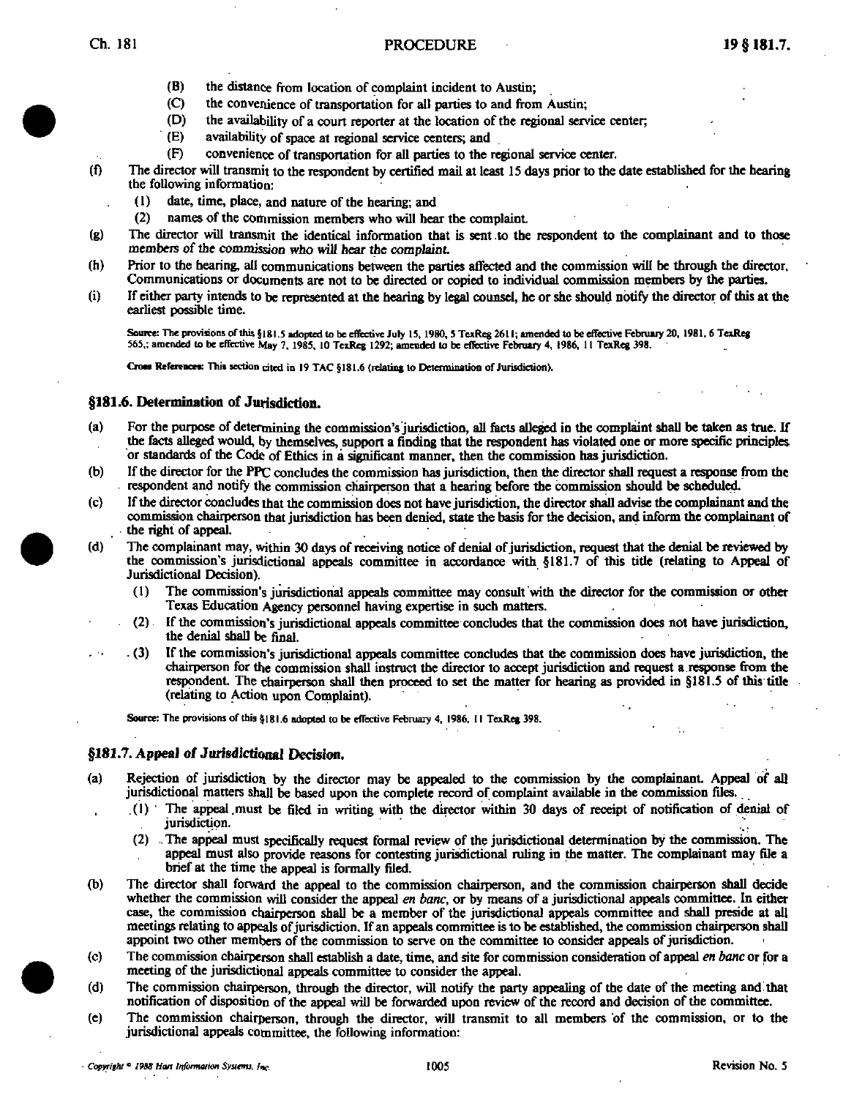# Ch. 181 **PROCEDURE** 19 § 181.7.

- (B) the distance from location of complaint incident to Austin;
- (C) the convenience of transportation for all parties to and from Austin;
- (D) the availability of a court reporter at the location of the regional service center;<br>(E) availability of space at regional service centers; and
- availability of space at regional service centers; and
- (F) convenience of transportation for all parties to the regional service center.
- (f) The director will transmit to the respondent by certified mail at least 15 days prior to the date established for the hearing the following information:
	- $(1)$  date, time, place, and nature of the hearing; and
	- (2) names of the commission members who will hear the complaint
- (g) The director will transmit the identical information that is sent to the respondent to the complainant and to those members of the commission who will hear the complaint
- (h) Prior to the hearing, all communications between the parties affected and the commission will be through the director. Communications or documents are not to be directed or copied to individual commission members by the parties.
- (i) If either party intends to be represented at the hearing by legal counsel, he or she should notify the director of this at the earliest possible time.

Source: The provisions of this §181.5 adopted to be effective July 15, 1980, 5 TexReg 2611; amended to be effective February 20, 1981. 6 TexReg 565,; amended to be effective May 7, 1985. 10 TexReg 1292; amended lo be eflective February 4, 1986, 11 TexReg 398.

Cross References: This section cited in 19 TAC §181.6 (relating to Determination of Jurisdiction).

## §181.6. Determination of Jurisdiction.

- (a) For the purpose of determining the commission's jurisdiction, all facts alleged in the complaint shall be taken as true. If the facts alleged would, by themselves, support a finding that the respondent has violated one or more specific principles or standards of the Code of Ethics in a significant manner, then the commission has jurisdiction.
- (b) If the director for the PPC concludes the commission has jurisdiction, then the director shall request a response from the respondent and notify the commission chairperson that a hearing before the commission should be scheduled.
- (c) If the director concludes that the commission does not have jurisdiction, the director shall advise the complainant and the commission chairperson that jurisdiction has been denied, state the basis for the decision, and inform the complainant of the right of appeal.
- (d) The complainant may, within 30 days of receiving notice of denial of jurisdiction, request that the denial be reviewed by the commission's jurisdictional appeals committee in accordance with §181.7 of this title (relating to Appeal of Jurisdictional Decision).
	- (1) The commission's jurisdictional appeals committee may consult with the director for the commission or other Texas Education Agency personnd having expertise in such matters.
	- (2) [f the commission's jurisdictional appeals committee concludes that the commission does not have jurisdiction, the denial shall be final.
	- (3) If the commission's jurisdictional appeals committee concludes that tbe commission does have jurisdiction, the chairperson for the commission shall instruct the director to accept jurisdiction and request a response from the respondent. The chairperson shall then proceed to set the matter for hearing as provided in §181.5 of this title (relating to Action upon Complaint).

Source: The provisions of this §181.6 adopted to be effective February 4, 1986, 11 TexReg 398.

#### §181.7. Appeal of Jurisdictional Decision.

- (a) Rejection of Jurisdiction by the director may be appealed to the commission by tbe complainant. Appeal of aU jurisdictional matters shall be based upon the complete record of complaint available in the commission files..
	- (1) The appeal.must be filed in writing with the director within 30 days of receipt of notification of denial of Jurisdiction.
	- (2) .. The appeal must specifically request formal review of the jurisdictional determination by the commission. The appeal must also provide reasons for contesting jurisdictional ruling in the matter. The complainant may file a brief at the time the appeal is formally filed.
- (b) The director shall forward the appeal to the commission chairperson, and the commission chairperson shall decide whether the commission will consider the appeal en banc, or by means of a jurisdictional appeals committee. In either case, the commission chairperson shall be a member of the jurisdictional appeals commitiee and shall preside at all meetings relating to appeals of jurisdiction. If an appeals committee is to be established, the commission chairperson shall appoint two other members of the commission to serve on the committee to consider appeals of jurisdiction.
- (c) The commission chairperson shall establish a date, time, and site for commission consideration of appeal en banc or for a meeting of the jurisdictional appeals committee to consider the appeal.
- (d) The commission chairperson, through the director, will notify the party appealing of the date of the meeting and that notification of disposition of the appeal will be forwarded upon review of the record and decision of the committee.
- (e) The commission chairperson, through the director, will transmit to all members of the commission, or to the jurisdictional appeals committee, the following information: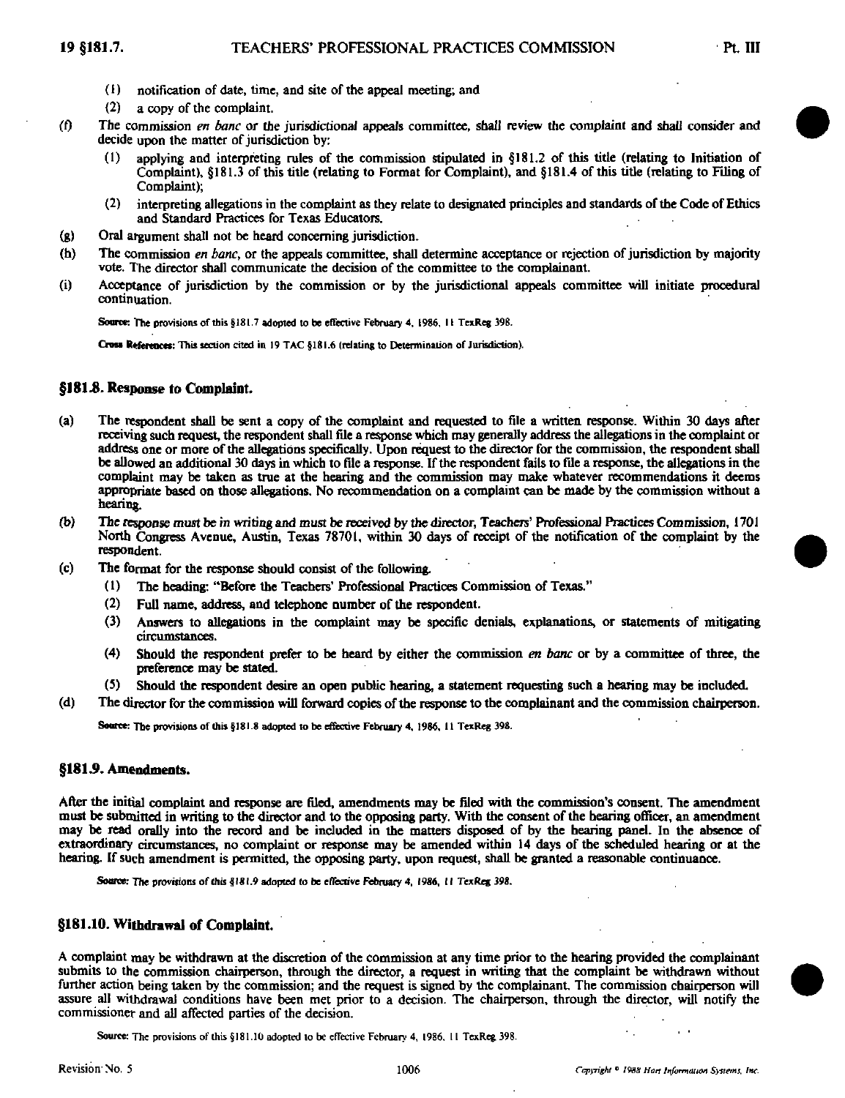- (1) notification of date, time, and site of the appeal meeting; and
- (2) a copy of the complaint.
- (f) The commission en banc or the jurisdictional appeals committee, shall review the complaint and shall consider and decide upon the matter of jurisdiction by:
	- applying and interpreting rules of the commission stipulated in  $§181.2$  of this title (relating to Initiation of Complaint), §181.3 of this title (relating to Format for Complaint), and §181.4 of this title (relating to Filing of Complaint);
	- (2) interpreting allegations in the complaint as they relate to designated principles and standards of the Code of Ethics and Standard Practices for Texas Educators.
- (g) Oral argument shall not be heard concerning jurisdiction.
- (h) The commission *en banc*, or the appeals committee, shall determine acceptance or rejection of jurisdiction by majority vote. The director shall communicate the decision of the committee to the complainant.
- (i) Acceptance of jurisdiction by the commission or by the jurisdictional appeals committee will initiate procedural continuation.

Source: The provisions of this §181.7 adopted to be effective February 4, 1986, 11 TexReg 398.

Cross References; This section cited in 19 TAC §181.6 (relating to Determination of Jurisdiction).

## §181.8. Response to Complaint.

- (a) The respondent shall be sent a copy of the complaint and requested to file a written response. Within 30 days after receiving such request, the respondent shall file a response which may generally address the allegations in the complaint or address one or more ofthe allegations specifically. Upon request to the director for the commission, the respondent shall be allowed an additional 30 days in which to file a response. If the respondent fails to file a response, the allegations in the complaint may be taken as true at the hearing and the commission may make whatever recommendations it deems appropriate based on those allegations. No recommendation on a complaint can be made by the commission without a hearing.
- (b) The response must be in writing and must be received by the director, Teachers' Professional Practices Commission, 1701 North Congress Avenue, Austin, Texas 78701, within 30 days of receipt of the notification of the complaint by the respondent.
- (c) The format for the response should consist of the following.
	- (1) The heading: "Before the Teachers' Professional Practices Commission of Texas."
	- (2) FuU name, address, and telephone number of the respondent.
	- (3) Answers to allegations in the complaint may be specific denials, explanations, or statements of mitigating circumstances.
	- (4) Should the respondent prefer to be heard by either the commission en banc or by a committee of three, the preference may be stated.
	- (5) Should the respondent desire an open public hearing, a statement requesting such a hearing may be included.
- (d) The director for the commission will forward copies of the response to the complainant and the commission chairperson.

Source: The provisions of this §181.8 adopted to be effective February 4, 1986, 11 TexReg 398.

## §181.9. Amendments.

Afler the initial complaint and response are filed, amendments may be filed with the commission's consent. The amendment must be submitted in writing to tbe director and to the opposing party. With the consent of the hearing officer, an amendment may be read orally into the record and be included in the matters disposed of by the hearing panel. In the absence of extraordinary circumstances, no complaint or response may be amended within 14 days ofthe scheduled hearing or at the hearing. If such amendment is permitted, the opposing party, upon request, shall be granted a reasonable continuance.

Source: The provisions of this §181.9 adopted to be effective February 4, 1986, II TexReg 398.

# §181.10. Withdrawal of Complaint.

A complaint may be withdrawn at the discretion of the commission at any time prior to the hearing provided the complainant submits to the commission chairperson, through the director, a request in writing that the complaint be withdrawn without further action being taken by the commission; and the request is signed by the complainant. The commission chairperson will assure all withdrawal conditions have been met prior to a decision. The chairperson, through the director, will notify the commissioner and all affected parties of the decision.

Source: The provisions of this §181.10 adopted to be effective February 4, 1986, 11 TexReg 398.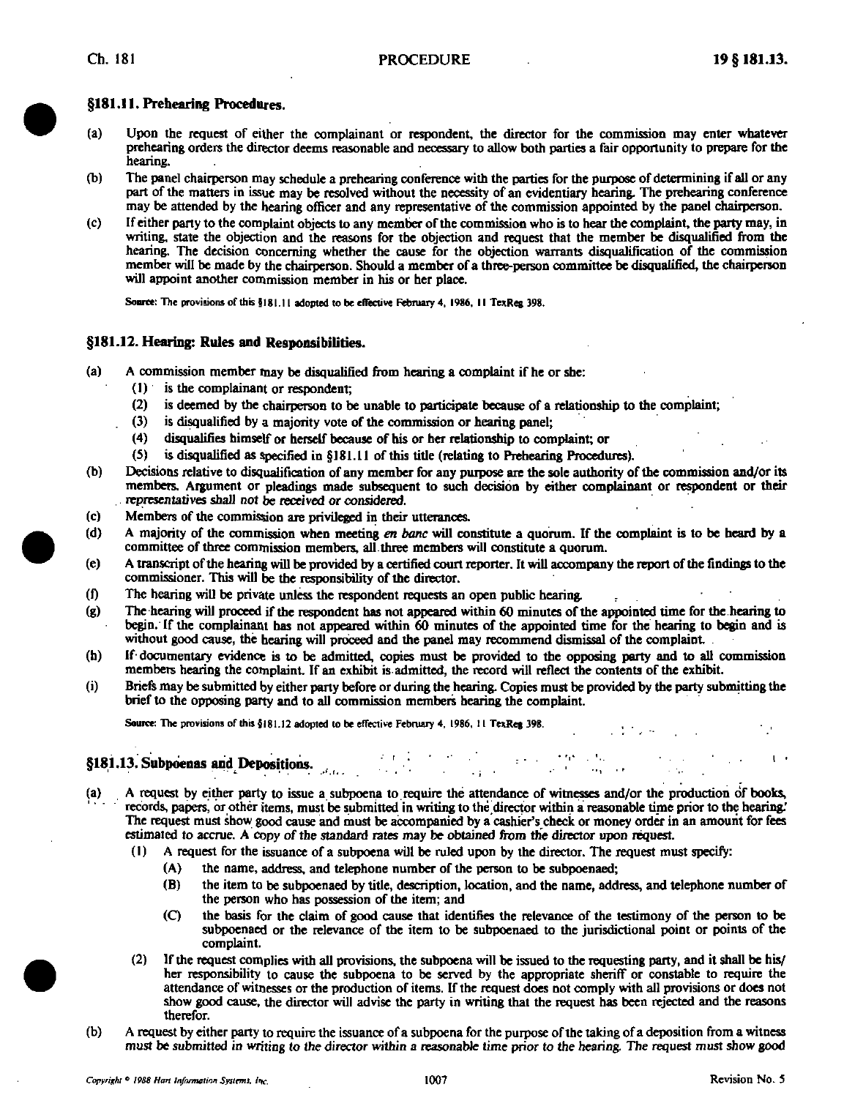# §181.11. Prehearing Procedures.

- (a) Upon the request of either the complainant or respondent, the director for the commission may enter whatever prehearing orders the director deems reasonable and necessary to allow both parties a fair opportunity to prepare for the hearing.
- (b) The panel chairperson may schedule a prehearing conference with the parties for the purpose of determining if all or any part of the matters in issue may be resolved without the necessity of an evidentiary hearing. The prehearing conference may be attended by the hearing officer and any representative of the commission appointed by the panel chairperson.
- (c) If either party to the complaint objects to any member of the commission who is to hear the complaint, the party may, in writing, state the objection and the reasons for the objection and request that the member be disqualified from the hearing. The decision concerning whether the cause for the objection warrants disqualification of the commission member will be made by the chairperson. Should a member of a three-person committee be disqualified, the chairperson will appoint another commission member in his or her place.

Source: The provisions of this §181.11 adopted to be effective February 4, 1986, 11 TexReg 398.

# §181.12. Hearing: Rules and Responsibilities.

- (a) A commission member may be disqualified from hearing a complaint if he or she:
	- (1) is the complainant or respondent;
	- (2) is deemed by the chairperson to be unable to participate because of a relationship to the complaint;
	- (3) is disqualified by a majority vote of the commission or hearing panel;
	- (4) disqualifies himself or herself because of his or her relationship to complaint; or
	- $(5)$  is disqualified as specified in §181.11 of this title (relating to Prehearing Procedures).
- (b) Decisions relative to disqualification of any member for any purpose are the sole authority of the commission and/or its members. Argument or pleadings made subsequent to such decision by either complainant or respondent or their representatives shall not be received or considered.
- (c) Members of the commission are privileged in their utterances.
- (d) A majority of the commission when meeting en banc will constitute a quorum. If the complaint is to be heard by a committee of three commission members, all three members will constitute a quorum.
- (e) A transcript ofthe hearing will be provided by a certified court reporter. It will accompany the report ofthe findings to the commissioner. This will be the responsibility of the director.
- (0 The hearing will be private unless the respondent requests an open public hearing.
- (g) The hearing will proceed if the respondent has not appeared within 60 minutes ofthe appointed time for the hearing to begin. If the complainant has not appeared within 60 minutes of the appointed time for the hearing to begin and is without good cause, the hearing will proceed and the panel may recommend dismissal of the complaint
- (h) If-documentary evidence is to be admitted, copies must be provided to the opposing party and to all commission members hearing the complaint. If an exhibit is admitted, the record will reflect the contents of the exhib
- Briefs may be submitted by either party before or during the hearing. Copies must be provided by the party submitting the  $\mathbf{u}$  because the submitted by either party before or during the incarning. Copies must be provided by the party submitting the hearing the party submitting the brief to the opposing party and to all commission members hearing the complaint.

Source: The provisions of this  $$181.12$  adopted to be effective February 4, 1986, 11 TexReg 398.

# §181.13. Subpoenas and Depositions.  $\frac{1}{2}$  ,  $\frac{1}{2}$  ,  $\frac{1}{2}$  ,  $\frac{1}{2}$  ,  $\frac{1}{2}$  ,  $\frac{1}{2}$

- A request by either party to issue a subpoena to require the attendance of witnesses and/or the production of books, records, papers, or other items, must be submitted in writing to the director within a reasonable time prior to the hearing.' The request must show good cause and must be accompanied by a cashier's check or money order in an amount for fees estimated to accrue. A copy of the standard rates may be obtained from the director upon request.
	- (1) A request for the issuance of a subpoena will be ruled upon by the director. The request must specify:
		- (A) the name, address, and telephone number of the person to be subpoenaed;
		- (B) the item to be subpoenaed by titie, description, location, and the name, address, and telephone number of the person who has possession of the item; and
		- (Q the basis for the claim of good cause that identifies the relevance of the testimony of the person to be subpoenaed or the relevance of the item to be subpoenaed to the jurisdictional point or points of the complaint.
	- (2) If the request complies with all provisions, the subpoena will be issued to the requesting party, and it shall be his/ her responsibility to cause the subpoena to be served by the appropriate sheriff or constable to require the attendance of witnesses or the production of items. If the request does not comply with all provisions or does not show good cause, the director will advise the party in writing that the request has been rejected and the reasons therefor.
- (b) A request by either party to require the issuance ofa subpoena for the purpose ofthe taking of a deposition from a witness must be submitted in writing to the director within a reasonable time prior to the hearing. The request must show good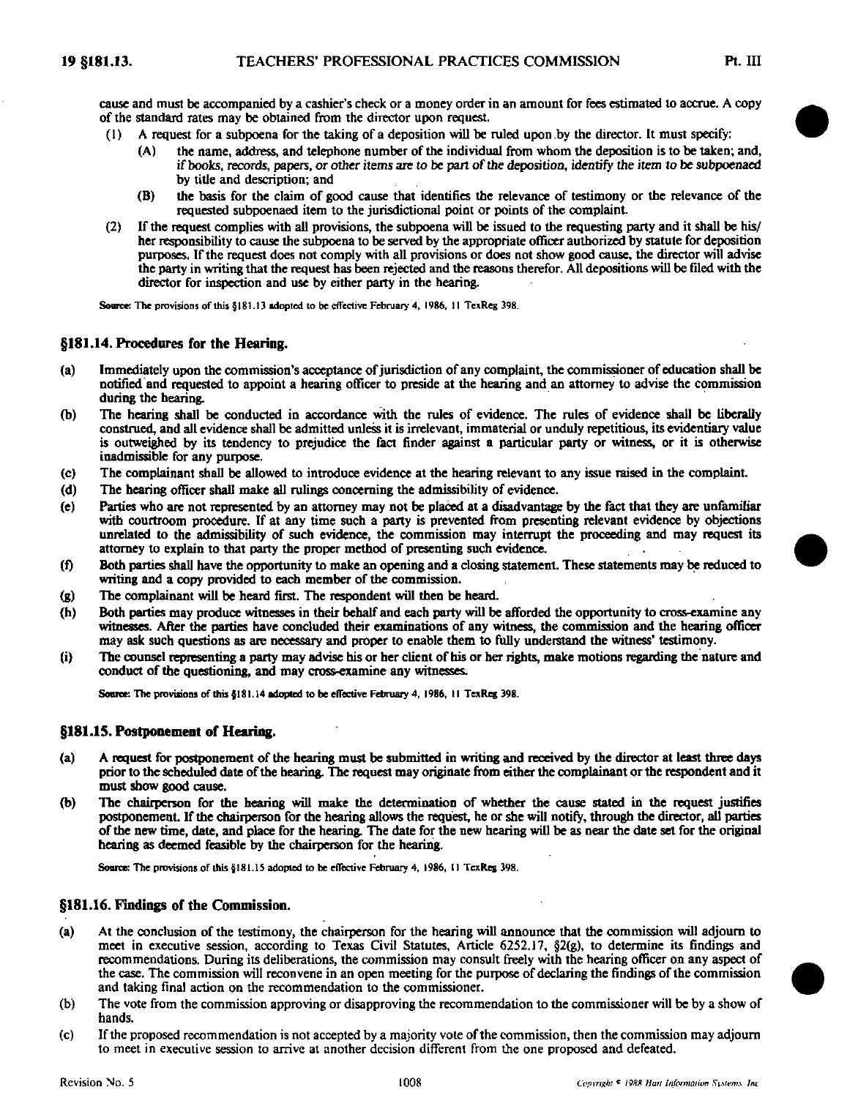cause and must be accompanied by a cashier's check or a money order in an amount for fees estimated to accrue. A copy of the standard rates may be obtained from the director upon request.

- $(1)$  A request for a subpoena for the taking of a deposition will be ruled upon by the director. It must specify:
	- (A) the name, address, and telephone number of the individual from whom the deposition is to be taken; and, if books, records, papers, or other items are to be part of the deposition, identify the item to be subpoenaed by titie and description; and
	- (B) the basis for the claim of good cause that identifies the relevance of testimony or the relevance of the requested subpoenaed item to the jurisdictional point or points of the complaint.
- (2) If the request complies with all provisions, the subpoena will be issued to the requesting party and it shall be his/ her responsibility to cause the subpoena to be served by the appropriate officer authorized by statute for deposition purposes. If the request does not comply with all provisions or does not show good cause, the director will advise the party in writing that the request has been rejected and the reasons therefor. All depositions will be filed with the director for inspection and use by either party in the hearing.

Source: The provisions of this §181.13 adopted to be effective February 4, 1986, 11 TexReg 398.

## §181.14. Procedures for the Hearing.

- (a) Immediately upon the commission's acceptance of jurisdiction of any complaint the commissioner of education shall be notified and requested to appoint a hearing officer to preside at the hearing and an attorney to advise the commission during the hearing.
- (b) The hearing shall be conducted in accordance with the rules of evidence. The rules of evidence shall be liberally construed, and all evidence shall be admitted unless it is irrelevant immaterial or unduly repetitious, its evidentiary value is outweighed by its tendency to prejudice the fact finder against a particular party or witness, or it is otherwise inadmissible for any purpose.
- (c) The complainant shall be allowed to introduce evidence at the hearing relevant to any issue raised in the complaint.
- (d) The hearing officer shall make all rulings concerning the admissibility of evidence.
- (e) Parties who are not represented by an attorney may not be placed at a disadvantage by the fact that they are unfamihar with courtroom procedure. If at any time such a party is prevented from presenting relevant evidence by objections unrelated to the admissibility of such evidence, the commission may interrupt the proceeding and may request its attorney to explain to that party the proper method of presenting such evidence.
- (f) Both parties shall have the opportunity to make an opening and a closing statement. These statements may be reduced to writing and a copy provided to each member of the commission.
- (g) The complainant will be heard first. The respondent will then be heard.
- (h) Both parties may produce witnesses in their behalf and each party vnll be afforded the opportunity to cross-examine any witnesses. After the parties have concluded their examinations of any witness, the commission and the hearing officer may ask such questions as are necessary and proper to enable them to fully understand the witness' testimony.
- (i) The counsel representing a party may advise his or her client of his or her rights, make motions regarding the nature and conduct of the questioning, and may cross-examine any witnesses.

Source: The provisions of this §181.14 adopted to be effective February 4, 1986, 11 TexReg 398.

## §181.15. Postponement of Hearing.

- (a) A request for postponement of the hearing must be submitted in writing and received by the director at least three days prior to the scheduled date of the hearing. The request may originate from either the complainant or the respondent and it must show good cause.
- (b) The chairperson for tbe hearing will make the determination of whether the cause stated in the request justifies postponement. If the chairperson for the hearing allows the request be or she will notify, through the director, all parties ofthe new time, date, and place for the hearing. The date for the new hearing will be as near the date set for the original hearing as deemed feasible by the chairperson for the hearing.

Soarce: The provisions of this §181.15 adopted to be effective February 4, 1986, II TexReg 398.

#### §181.16. Findings of the Commission.

- (a) At the conclusion ofthe testimony, the chairperson for the hearing will announce that the commission will adjourn to meet in executive session, according to Texas Civil Statutes, Article 6252.17, §2(g), to determine its findings and recommendations. During its deliberations, the commission may consult freely with the hearing officer on any aspect of the case. The commission will reconvene in an open meeting for the purpose of declaring the findings ofthe commission and taking final action on the recommendation to the commissioner.
- (b) The vote from the commission approving or disapproving the recommendation to the commissioner will be by a show of hands.
- (c) If the proposed recommendation is not accepted by a majority vote ofthe commission, then the commission may adjourn to meet in executive session to arrive at another decision different from the one proposed and defeated.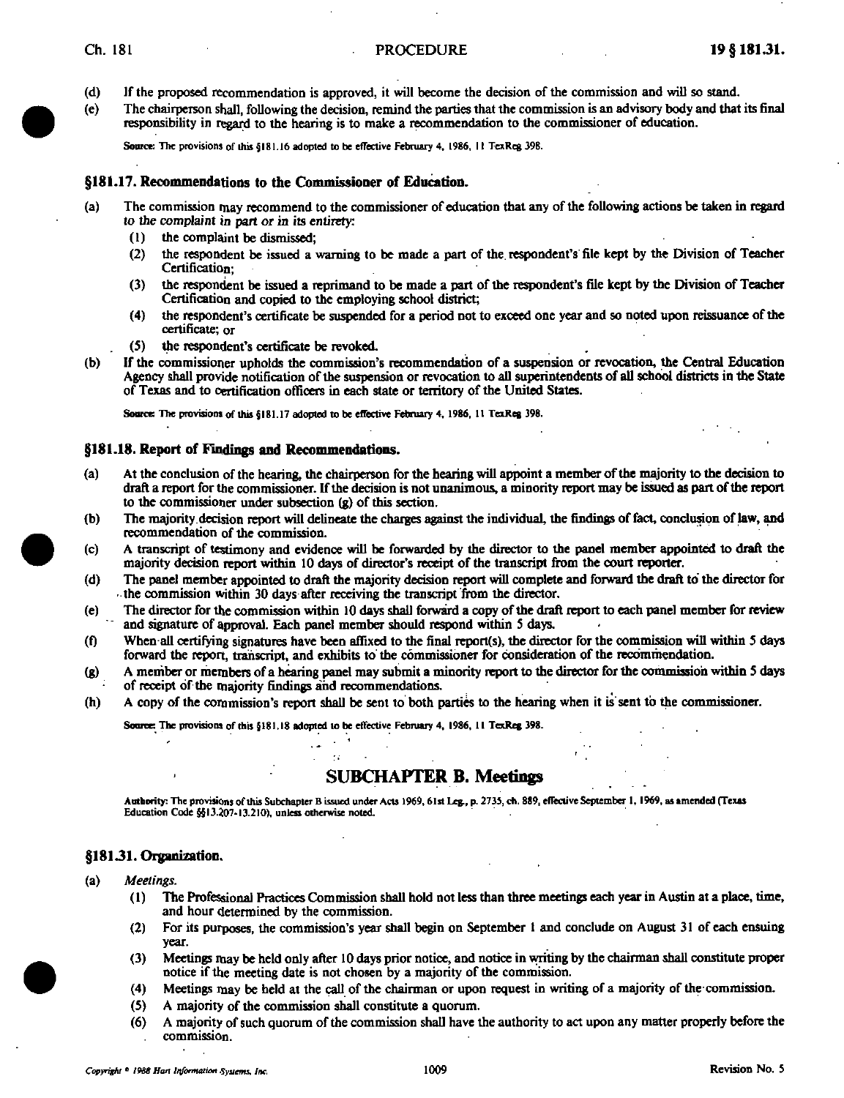- (d) If the proposed recommendation is approved, it will become the decision ofthe commission and will so stand.
- (e) The chairperson shall, following the decision, renund the parties that the comnussion is an advisory body and that its final responsibility in regard to the hearing is to make a recommendation to the commissioner of education.

Source: The provisions of ihis §181.16 adopted to be effective February 4, 1986, 11 TexReg 398.

#### §181.17. Recommendations to the Commissioner of Education.

- (a) The commission may recommend to the commissioner of education that any ofthe following actions be taken in regard to the complaint in part or in its entirety:
	- (1) the complaint be dismissed;<br>(2) the respondent be issued a
	- the respondent be issued a warning to be made a part of the respondent's file kept by the Division of Teacher Certification;
	- (3) the respondent be issued a reprimand to be made a part of the respondent's file kept by the Division of Teacher Certification and copied to the employing school district;
	- (4) the respondent's certificate be suspended for a period not to exceed one year and so noted upon reissuance ofthe certificate; or
	- (5) the respondent's certificate be revoked.
- (b) If the commissioner upholds the commission's recommendation of a suspension or revocation, the Central Education Agency shall provide notification of the suspension or revocation to all superintendents of all school districts in the State of Texas and to certification officers in each state or territory of the United States.

Source: The provisions of this §181.17 adopted to be effective February 4, 1986, 11 TexReg 398.

#### §181.18. Report of Findings and Reconunendations.

- (a) At the conclusion of the hearing, the chairperson for the hearing will appoint a member of the majority to the decision to draft a report for the commissioner. If the decision is not unanimous, a minority report may be issued as part of the report to the commissioner under subsection (g) of this section.
- (b) The majority decision report will delineate the charges against the individual, the findings of fact, conclusion of law, and recommendation of the commission.
- (c) A transcript of testimony and evidence wiU be forwarded by the director to the panel member appointed to draft the majority decision report within 10 days of director's receipt of the transcript from the court reporter.
- (d) The panel member appointed to draft the majority decision report will complete and forward the draft to the director for the commission within 30 days after receiving the transcript firom the director.
- (e) The director for the commission within 10 days shall forward a copy of the draft report to each panel member for review and signature of approval. Each panel member should respond within S days.
- (0 When all certifying signatures have been affixed to the final report(s), the director for the commission will within 5 days forward the report, transcript, and exhibits to the commissioner for consideration of the recommendation.
- (g) A member or ihembers ofa hearing panel may submit a minority report to the director for the commission within S days of receipt of the majority findings and recommendations.
- (h) A copy of the commission's report shall be sent to both parties to the hearing when it is sent to the commissioner.

Source: The provisions of this §181.18 adopted to be effective February 4, 1986, 11 TexReg 398.

# SUBCHAPTER B. Meetings

Authority: The provisions of this Subchapter B issued under Acts 1969, 61st Leg., p. 2735, ch. 889, effective September 1, 1969, as amended (Texas Education Code §513.207-13.210), unless otherwise noted.

## §181.31. Organization.

- (a) Meetings.
	- (1) The Professional Practices Commission shall hold not less than three meetings each year in Austin at a place, time, and hour determined by the commission.
	- (2) For its purposes, the commission's year shall begin on September t and conclude on August 31 of each ensuing year.
	- (3) Meetings may be held only after 10 days prior notice, and notice in writing by the chairman shall constitute proper notice if the meeting date is not chosen by a majority of the commission.
	- (4) Meetings may be held at the call of the chairman or upon request in writing of a majority of the commission.
	- (5) A majority of the commission shall constitute a quorum.
	- (6) A majority of such quorum ofthe commission shall have the authority to act upon any matter properly before the commission.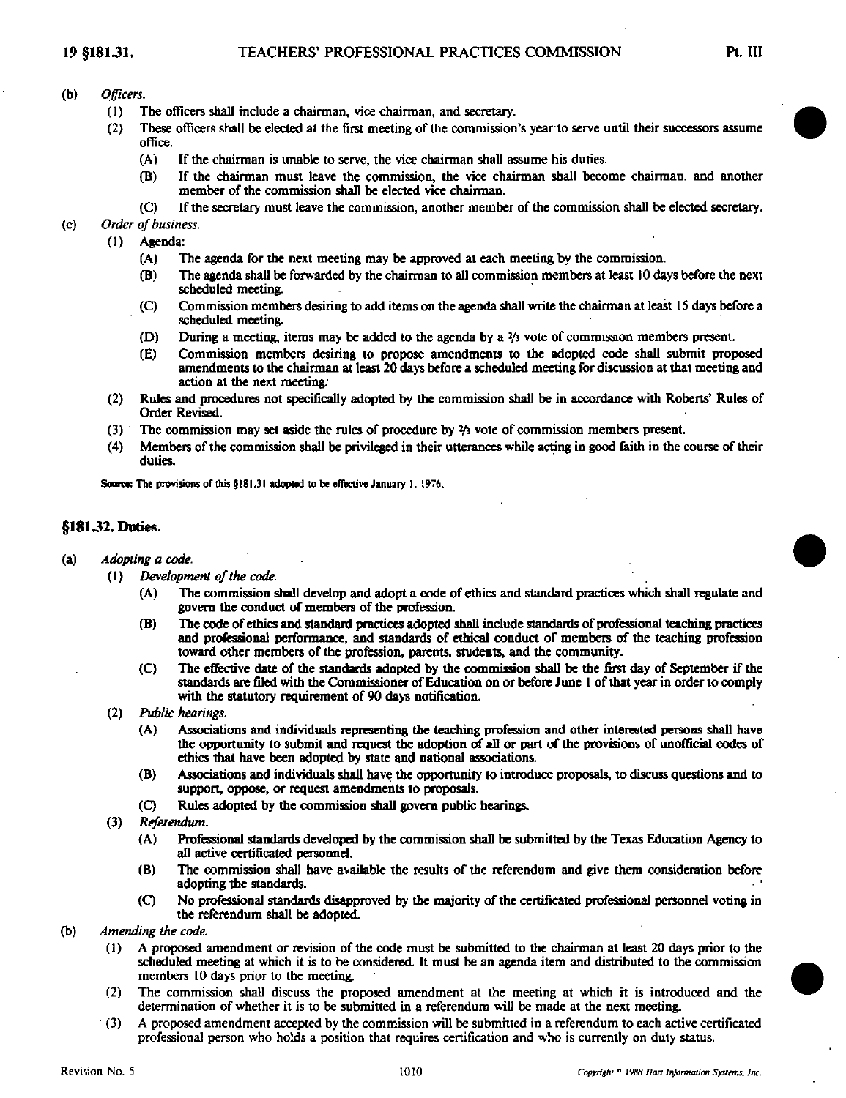# (b) Officers.

- (1) The officers shall include a chairman, vice chairman, and secretary.
- $(2)$  These officers shall be elected at the first meeting of the commission's year to serve until their successors assume office.
	- (A) If the chairman is unable to serve, the vice chairman shall assume his duties.
	- (B) If the chairman must leave the commission, the vice chairman shall become chairman, and another member of the commission shall be elected vice chairman.
	- (C) If the secretary must leave the commission, another member of the commission shall be elected secretary.

(c) Order of business.

- (1) Agenda:
	- (A) The agenda for the next meeting may be approved at each meeting by the commission.
	- (B) The agenda shall be forwarded by the chairman to all commission members at least 10 days before the next scheduled meeting.
	- (C) Commission members desiring to add items on the agenda shall write the chairman at least IS days before a scheduled meeting.
	- (D) During a meeting, items may be added to the agenda by a  $\frac{y_3}{y_3}$  vote of commission members present.
	- (E) Commission members desiring to propose amendments to the adopted code shall submit proposed amendments to the chairman at least 20 days before a scheduled meeting for discussion at that meeting and action at the next meeting.
- (2) Rules and procedures not specifically adopted by the commission shall be in accordance with Roberts' Rules of Order Revised.
- (3) The commission may set aside the rules of procedure by yi vote of commission members present.
- (4) Members ofthe commission shall be privileged in their utterances while acting in good faith in the course of their duties.

Source: The provisions of this §181.31 adopted to be effective January 1, 1976,

# §18132. Duties.

- (a) Adopting a code.
	- $(1)$  Development of the code.
		- (A) The commission shall develop and adopt a code of ethics and standard practices which shall regulate and govern the conduct of members of the profession.
		- (B) The code of ethics and standard practices adopted shall include standards of professional teaching practices and professional performance, and standards of ethical conduct of members of the teaching profession toward other members of the profession, parents, students, and the community.
		- (C) The effective date of the standards adopted by the commission shall be the first day of September if the standards are filed with the Commissioner of Education on or before June 1 of that year in order to comply with the statutory requirement of 90 days notification.
	- (2) Pid)lic hearings.
		- (A) Associations and individuals representing the teaching profession and other interested persons shall have the opportunity to submit and request the adoption of all or part of the provisions of unofficial codes of ethics that have been adopted by state and national associations.
		- (B) Associations and individuals shall have the opportunity to introduce proposals, to discuss questions and to support, oppose, or request amendments to proposals.
		- (C) Rules adopted by the commission shall govern public hearings.
	- (3) Referendum.
		- (A) Professional standards developed by the commission shall be submitted by the Texas Education Agency to all active certificated personnel.
		- (B) The commission shall have available the results of the referendum and give them consideration before adopting the standards.
		- (C) No professional standards disapproved by the majority of the certificated professional personnel voting in the referendum shall be adopted.
- (b) Amending the code.
	- (1) A proposed amendment or revision of the code must be submitted to the chairman at least 20 days prior to the scheduled meeting at which it is to be considered. It must be an agenda item and distributed to the commission members 10 days prior to the meeting.
	- (2) The commission shall discuss the proposed amendment at the meeting at which it is introduced and the determination of whether it is to be submitted in a referendum will be made at the next meeting.
	- (3) A proposed amendment accepted by the commission will be submitted in a referendum to each active certificated professional person who holds a position that requires certification and who is currentiy on duly status.

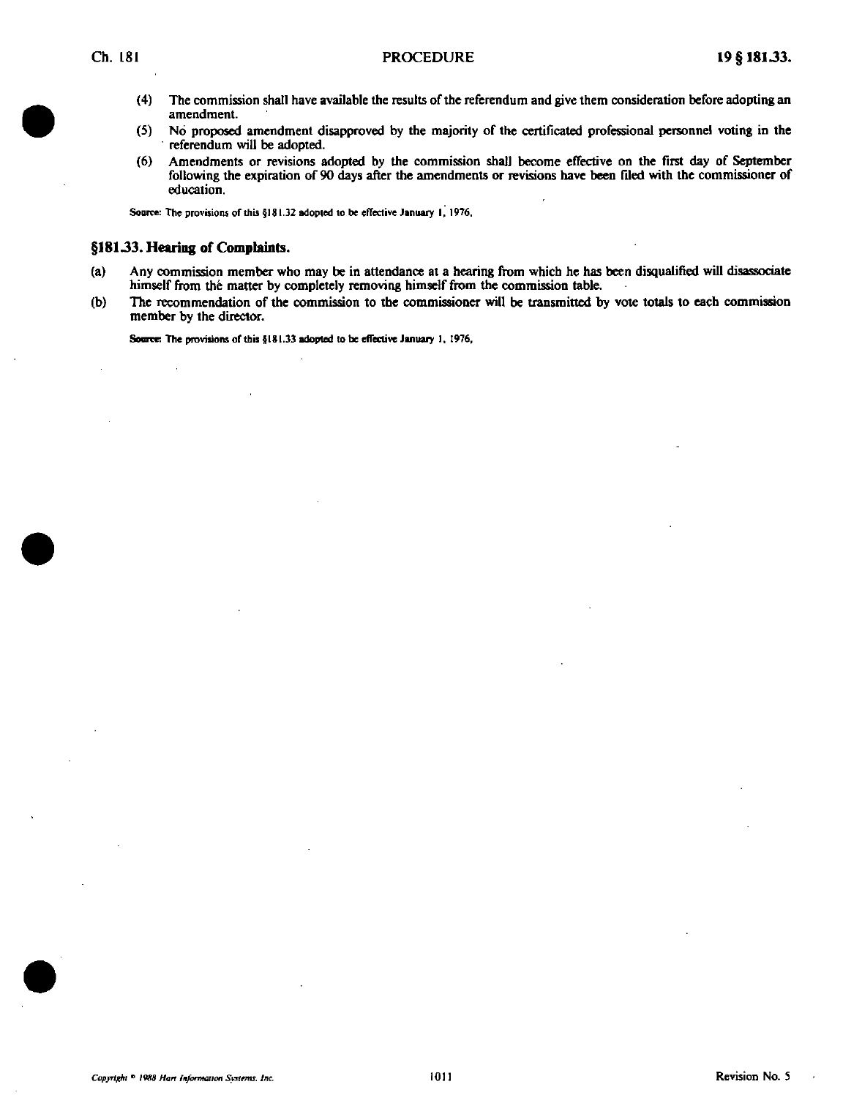- (4) The commission shall have available the results of the referendum and give them consideration before adopting an amendment
- (5) No proposed amendment disapproved by the majority of the certificated professional personnel voting in the referendum will be adopted.
- (6) Amendments or revisions adopted by the commission shall become effective on the first day of September following the expiration of 90 days after the amendments or revisions have been filed with the commissioner of education.

Source: The provisions of this §181.32 adopted to be effective January 1, 1976.

## §18133. Hearing of Complaints.

- (a) Any commission member who may be in attendance at a hearing from which he has been disqualified will disassociate himself from the matter by completely removing himself from the commission table.
- (b) The recommendation of the commission to the commissioner will be transmitted by vote totals to each commission member by the director.

Source: The provisions of this §181.33 adopted to be effective January 1, 1976,